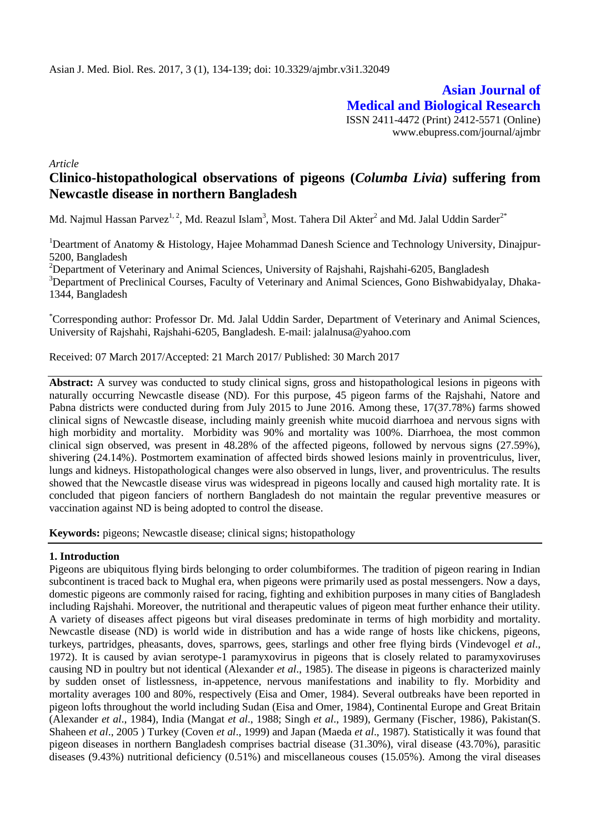**Asian Journal of Medical and Biological Research** ISSN 2411-4472 (Print) 2412-5571 (Online) www.ebupress.com/journal/ajmbr

*Article*

# **Clinico-histopathological observations of pigeons (***Columba Livia***) suffering from Newcastle disease in northern Bangladesh**

Md. Najmul Hassan Parvez<sup>1, 2</sup>, Md. Reazul Islam<sup>3</sup>, Most. Tahera Dil Akter<sup>2</sup> and Md. Jalal Uddin Sarder<sup>2\*</sup>

<sup>1</sup>Deartment of Anatomy & Histology, Hajee Mohammad Danesh Science and Technology University, Dinajpur-5200, Bangladesh

<sup>2</sup>Department of Veterinary and Animal Sciences, University of Rajshahi, Rajshahi-6205, Bangladesh <sup>3</sup>Department of Preclinical Courses, Faculty of Veterinary and Animal Sciences, Gono Bishwabidyalay, Dhaka-

1344, Bangladesh

\*Corresponding author: Professor Dr. Md. Jalal Uddin Sarder, Department of Veterinary and Animal Sciences, University of Rajshahi, Rajshahi-6205, Bangladesh. E-mail: jalalnusa@yahoo.com

Received: 07 March 2017/Accepted: 21 March 2017/ Published: 30 March 2017

**Abstract:** A survey was conducted to study clinical signs, gross and histopathological lesions in pigeons with naturally occurring Newcastle disease (ND). For this purpose, 45 pigeon farms of the Rajshahi, Natore and Pabna districts were conducted during from July 2015 to June 2016. Among these, 17(37.78%) farms showed clinical signs of Newcastle disease, including mainly greenish white mucoid diarrhoea and nervous signs with high morbidity and mortality. Morbidity was 90% and mortality was 100%. Diarrhoea, the most common clinical sign observed, was present in 48.28% of the affected pigeons, followed by nervous signs (27.59%), shivering (24.14%). Postmortem examination of affected birds showed lesions mainly in proventriculus, liver, lungs and kidneys. Histopathological changes were also observed in lungs, liver, and proventriculus. The results showed that the Newcastle disease virus was widespread in pigeons locally and caused high mortality rate. It is concluded that pigeon fanciers of northern Bangladesh do not maintain the regular preventive measures or vaccination against ND is being adopted to control the disease.

**Keywords:** pigeons; Newcastle disease; clinical signs; histopathology

## **1. Introduction**

Pigeons are ubiquitous flying birds belonging to order columbiformes. The tradition of pigeon rearing in Indian subcontinent is traced back to Mughal era, when pigeons were primarily used as postal messengers. Now a days, domestic pigeons are commonly raised for racing, fighting and exhibition purposes in many cities of Bangladesh including Rajshahi. Moreover, the nutritional and therapeutic values of pigeon meat further enhance their utility. A variety of diseases affect pigeons but viral diseases predominate in terms of high morbidity and mortality. Newcastle disease (ND) is world wide in distribution and has a wide range of hosts like chickens, pigeons, turkeys, partridges, pheasants, doves, sparrows, gees, starlings and other free flying birds (Vindevogel *et al*., 1972). It is caused by avian serotype-1 paramyxovirus in pigeons that is closely related to paramyxoviruses causing ND in poultry but not identical (Alexander *et al*., 1985). The disease in pigeons is characterized mainly by sudden onset of listlessness, in-appetence, nervous manifestations and inability to fly. Morbidity and mortality averages 100 and 80%, respectively (Eisa and Omer, 1984). Several outbreaks have been reported in pigeon lofts throughout the world including Sudan (Eisa and Omer, 1984), Continental Europe and Great Britain (Alexander *et al*., 1984), India (Mangat *et al*., 1988; Singh *et al*., 1989), Germany (Fischer, 1986), Pakistan(S. Shaheen *et al*., 2005 ) Turkey (Coven *et al*., 1999) and Japan (Maeda *et al*., 1987). Statistically it was found that pigeon diseases in northern Bangladesh comprises bactrial disease (31.30%), viral disease (43.70%), parasitic diseases (9.43%) nutritional deficiency (0.51%) and miscellaneous couses (15.05%). Among the viral diseases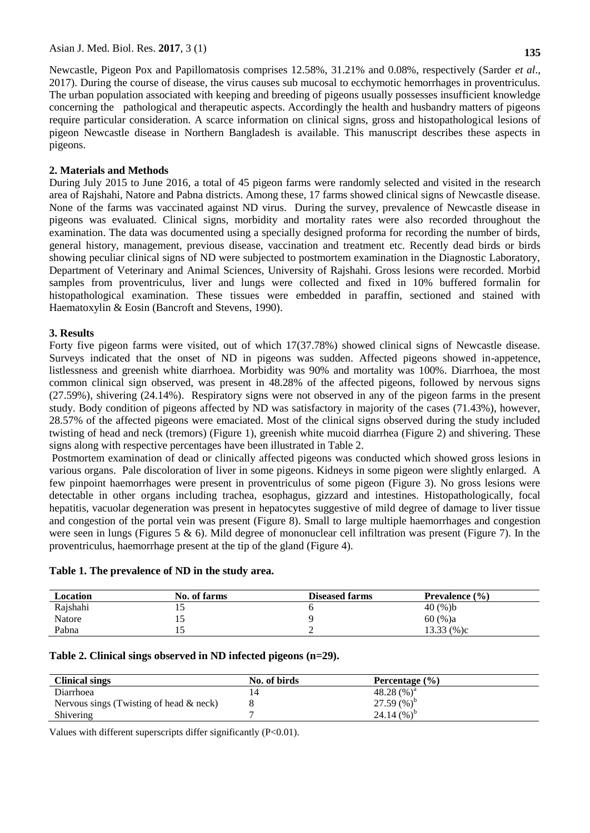Newcastle, Pigeon Pox and Papillomatosis comprises 12.58%, 31.21% and 0.08%, respectively (Sarder *et al*., 2017). During the course of disease, the virus causes sub mucosal to ecchymotic hemorrhages in proventriculus. The urban population associated with keeping and breeding of pigeons usually possesses insufficient knowledge concerning the pathological and therapeutic aspects. Accordingly the health and husbandry matters of pigeons require particular consideration. A scarce information on clinical signs, gross and histopathological lesions of pigeon Newcastle disease in Northern Bangladesh is available. This manuscript describes these aspects in pigeons.

## **2. Materials and Methods**

During July 2015 to June 2016, a total of 45 pigeon farms were randomly selected and visited in the research area of Rajshahi, Natore and Pabna districts. Among these, 17 farms showed clinical signs of Newcastle disease. None of the farms was vaccinated against ND virus. During the survey, prevalence of Newcastle disease in pigeons was evaluated. Clinical signs, morbidity and mortality rates were also recorded throughout the examination. The data was documented using a specially designed proforma for recording the number of birds, general history, management, previous disease, vaccination and treatment etc. Recently dead birds or birds showing peculiar clinical signs of ND were subjected to postmortem examination in the Diagnostic Laboratory, Department of Veterinary and Animal Sciences, University of Rajshahi. Gross lesions were recorded. Morbid samples from proventriculus, liver and lungs were collected and fixed in 10% buffered formalin for histopathological examination. These tissues were embedded in paraffin, sectioned and stained with Haematoxylin & Eosin (Bancroft and Stevens, 1990).

## **3. Results**

Forty five pigeon farms were visited, out of which 17(37.78%) showed clinical signs of Newcastle disease. Surveys indicated that the onset of ND in pigeons was sudden. Affected pigeons showed in-appetence, listlessness and greenish white diarrhoea. Morbidity was 90% and mortality was 100%. Diarrhoea, the most common clinical sign observed, was present in 48.28% of the affected pigeons, followed by nervous signs (27.59%), shivering (24.14%). Respiratory signs were not observed in any of the pigeon farms in the present study. Body condition of pigeons affected by ND was satisfactory in majority of the cases (71.43%), however, 28.57% of the affected pigeons were emaciated. Most of the clinical signs observed during the study included twisting of head and neck (tremors) (Figure 1), greenish white mucoid diarrhea (Figure 2) and shivering. These signs along with respective percentages have been illustrated in Table 2.

Postmortem examination of dead or clinically affected pigeons was conducted which showed gross lesions in various organs. Pale discoloration of liver in some pigeons. Kidneys in some pigeon were slightly enlarged. A few pinpoint haemorrhages were present in proventriculus of some pigeon (Figure 3). No gross lesions were detectable in other organs including trachea, esophagus, gizzard and intestines. Histopathologically, focal hepatitis, vacuolar degeneration was present in hepatocytes suggestive of mild degree of damage to liver tissue and congestion of the portal vein was present (Figure 8). Small to large multiple haemorrhages and congestion were seen in lungs (Figures 5  $\&$  6). Mild degree of mononuclear cell infiltration was present (Figure 7). In the proventriculus, haemorrhage present at the tip of the gland (Figure 4).

## **Table 1. The prevalence of ND in the study area.**

| Location | No. of farms | <b>Diseased farms</b> | <b>Prevalence</b> $(\% )$ |
|----------|--------------|-----------------------|---------------------------|
| Rajshahi | ⊥J           |                       | 40 $(%$ )b                |
| Natore   | ιJ           |                       | $60 (%)$ a                |
| Pabna    | ⊥J           |                       | $13.33\ (%)c$             |

#### **Table 2. Clinical sings observed in ND infected pigeons (n=29).**

| <b>Clinical sings</b>                      | No. of birds | Percentage $(\% )$ |  |
|--------------------------------------------|--------------|--------------------|--|
| Diarrhoea                                  |              | 48.28 $(\%)^a$     |  |
| Nervous sings (Twisting of head $\&$ neck) |              | 27.59 $(\%)^b$     |  |
| Shivering                                  |              | 24.14 $(\%)^{b}$   |  |

Values with different superscripts differ significantly (P<0.01).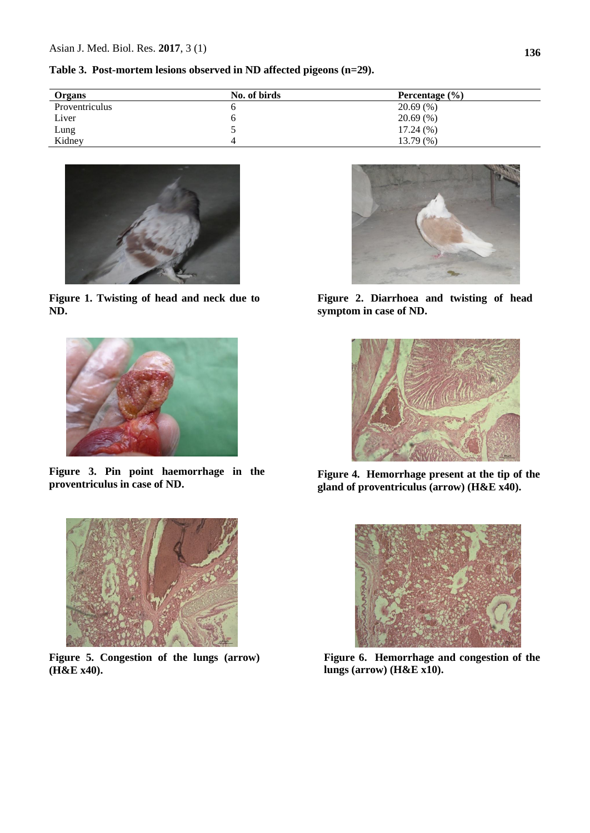**Table 3. Post-mortem lesions observed in ND affected pigeons (n=29).**

| Organs         | No. of birds | Percentage $(\% )$ |
|----------------|--------------|--------------------|
| Proventriculus |              | $20.69~(\% )$      |
| Liver          |              | $20.69~(\%)$       |
| Lung           |              | $17.24\ (%)$       |
| Kidney         |              | 13.79 (%)          |



**Figure 1. Twisting of head and neck due to ND.**



**Figure 3. Pin point haemorrhage in the proventriculus in case of ND.**



**Figure 5. Congestion of the lungs (arrow) (H&E x40).**



**Figure 2. Diarrhoea and twisting of head symptom in case of ND.**



**Figure 4. Hemorrhage present at the tip of the gland of proventriculus (arrow) (H&E x40).**



**Figure 6. Hemorrhage and congestion of the lungs (arrow) (H&E x10).**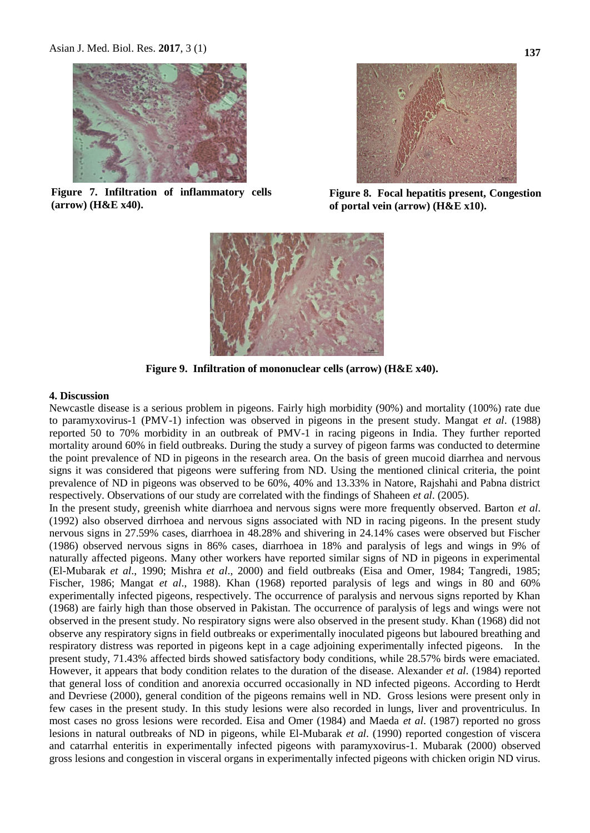

**Figure 7. Infiltration of inflammatory cells (arrow) (H&E x40).**



**Figure 8. Focal hepatitis present, Congestion of portal vein (arrow) (H&E x10).**



**Figure 9. Infiltration of mononuclear cells (arrow) (H&E x40).**

#### **4. Discussion**

Newcastle disease is a serious problem in pigeons. Fairly high morbidity (90%) and mortality (100%) rate due to paramyxovirus-1 (PMV-1) infection was observed in pigeons in the present study. Mangat *et al*. (1988) reported 50 to 70% morbidity in an outbreak of PMV-1 in racing pigeons in India. They further reported mortality around 60% in field outbreaks. During the study a survey of pigeon farms was conducted to determine the point prevalence of ND in pigeons in the research area. On the basis of green mucoid diarrhea and nervous signs it was considered that pigeons were suffering from ND. Using the mentioned clinical criteria, the point prevalence of ND in pigeons was observed to be 60%, 40% and 13.33% in Natore, Rajshahi and Pabna district respectively. Observations of our study are correlated with the findings of Shaheen *et al*. (2005).

In the present study, greenish white diarrhoea and nervous signs were more frequently observed. Barton *et al*. (1992) also observed dirrhoea and nervous signs associated with ND in racing pigeons. In the present study nervous signs in 27.59% cases, diarrhoea in 48.28% and shivering in 24.14% cases were observed but Fischer (1986) observed nervous signs in 86% cases, diarrhoea in 18% and paralysis of legs and wings in 9% of naturally affected pigeons. Many other workers have reported similar signs of ND in pigeons in experimental (El-Mubarak *et al*., 1990; Mishra *et al*., 2000) and field outbreaks (Eisa and Omer, 1984; Tangredi, 1985; Fischer, 1986; Mangat *et al*., 1988). Khan (1968) reported paralysis of legs and wings in 80 and 60% experimentally infected pigeons, respectively. The occurrence of paralysis and nervous signs reported by Khan (1968) are fairly high than those observed in Pakistan. The occurrence of paralysis of legs and wings were not observed in the present study. No respiratory signs were also observed in the present study. Khan (1968) did not observe any respiratory signs in field outbreaks or experimentally inoculated pigeons but laboured breathing and respiratory distress was reported in pigeons kept in a cage adjoining experimentally infected pigeons. In the present study, 71.43% affected birds showed satisfactory body conditions, while 28.57% birds were emaciated. However, it appears that body condition relates to the duration of the disease. Alexander *et al*. (1984) reported that general loss of condition and anorexia occurred occasionally in ND infected pigeons. According to Herdt and Devriese (2000), general condition of the pigeons remains well in ND. Gross lesions were present only in few cases in the present study. In this study lesions were also recorded in lungs, liver and proventriculus. In most cases no gross lesions were recorded. Eisa and Omer (1984) and Maeda *et al*. (1987) reported no gross lesions in natural outbreaks of ND in pigeons, while El-Mubarak *et al*. (1990) reported congestion of viscera and catarrhal enteritis in experimentally infected pigeons with paramyxovirus-1. Mubarak (2000) observed gross lesions and congestion in visceral organs in experimentally infected pigeons with chicken origin ND virus.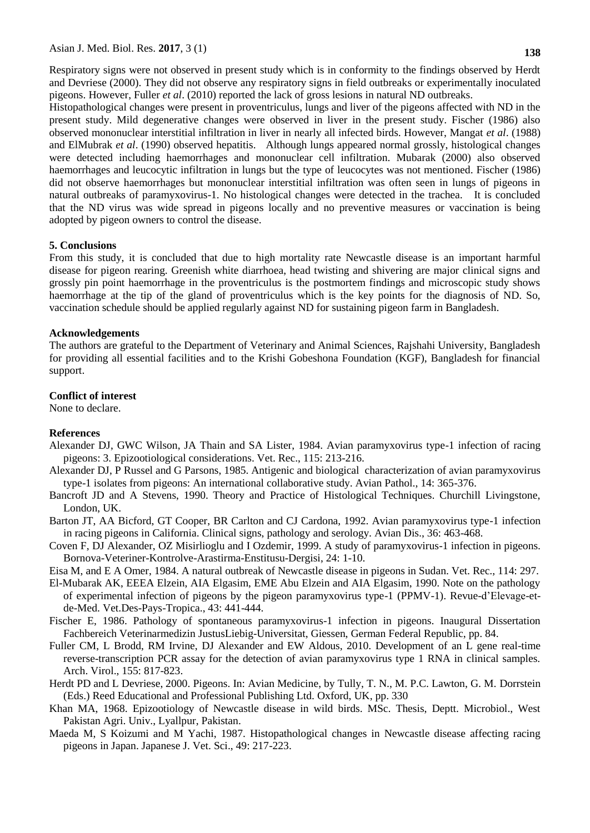Respiratory signs were not observed in present study which is in conformity to the findings observed by Herdt and Devriese (2000). They did not observe any respiratory signs in field outbreaks or experimentally inoculated pigeons. However, Fuller *et al*. (2010) reported the lack of gross lesions in natural ND outbreaks.

Histopathological changes were present in proventriculus, lungs and liver of the pigeons affected with ND in the present study. Mild degenerative changes were observed in liver in the present study. Fischer (1986) also observed mononuclear interstitial infiltration in liver in nearly all infected birds. However, Mangat *et al*. (1988) and ElMubrak *et al*. (1990) observed hepatitis. Although lungs appeared normal grossly, histological changes were detected including haemorrhages and mononuclear cell infiltration. Mubarak (2000) also observed haemorrhages and leucocytic infiltration in lungs but the type of leucocytes was not mentioned. Fischer (1986) did not observe haemorrhages but mononuclear interstitial infiltration was often seen in lungs of pigeons in natural outbreaks of paramyxovirus-1. No histological changes were detected in the trachea. It is concluded that the ND virus was wide spread in pigeons locally and no preventive measures or vaccination is being adopted by pigeon owners to control the disease.

#### **5. Conclusions**

From this study, it is concluded that due to high mortality rate Newcastle disease is an important harmful disease for pigeon rearing. Greenish white diarrhoea, head twisting and shivering are major clinical signs and grossly pin point haemorrhage in the proventriculus is the postmortem findings and microscopic study shows haemorrhage at the tip of the gland of proventriculus which is the key points for the diagnosis of ND. So, vaccination schedule should be applied regularly against ND for sustaining pigeon farm in Bangladesh.

#### **Acknowledgements**

The authors are grateful to the Department of Veterinary and Animal Sciences, Rajshahi University, Bangladesh for providing all essential facilities and to the Krishi Gobeshona Foundation (KGF), Bangladesh for financial support.

#### **Conflict of interest**

None to declare.

#### **References**

- Alexander DJ, GWC Wilson, JA Thain and SA Lister, 1984. Avian paramyxovirus type-1 infection of racing pigeons: 3. Epizootiological considerations. Vet. Rec., 115: 213-216.
- Alexander DJ, P Russel and G Parsons, 1985. Antigenic and biological characterization of avian paramyxovirus type-1 isolates from pigeons: An international collaborative study. Avian Pathol., 14: 365-376.
- Bancroft JD and A Stevens, 1990. Theory and Practice of Histological Techniques. Churchill Livingstone, London, UK.
- Barton JT, AA Bicford, GT Cooper, BR Carlton and CJ Cardona, 1992. Avian paramyxovirus type-1 infection in racing pigeons in California. Clinical signs, pathology and serology. Avian Dis., 36: 463-468.
- Coven F, DJ Alexander, OZ Misirlioglu and I Ozdemir, 1999. A study of paramyxovirus-1 infection in pigeons. Bornova-Veteriner-Kontrolve-Arastirma-Enstitusu-Dergisi, 24: 1-10.
- Eisa M, and E A Omer, 1984. A natural outbreak of Newcastle disease in pigeons in Sudan. Vet. Rec., 114: 297.
- El-Mubarak AK, EEEA Elzein, AIA Elgasim, EME Abu Elzein and AIA Elgasim, 1990. Note on the pathology of experimental infection of pigeons by the pigeon paramyxovirus type-1 (PPMV-1). Revue-d'Elevage-etde-Med. Vet.Des-Pays-Tropica., 43: 441-444.
- Fischer E, 1986. Pathology of spontaneous paramyxovirus-1 infection in pigeons. Inaugural Dissertation Fachbereich Veterinarmedizin JustusLiebig-Universitat, Giessen, German Federal Republic, pp. 84.
- Fuller CM, L Brodd, RM Irvine, DJ Alexander and EW Aldous, 2010. Development of an L gene real-time reverse-transcription PCR assay for the detection of avian paramyxovirus type 1 RNA in clinical samples. Arch. Virol., 155: 817-823.
- Herdt PD and L Devriese, 2000. Pigeons. In: Avian Medicine, by Tully, T. N., M. P.C. Lawton, G. M. Dorrstein (Eds.) Reed Educational and Professional Publishing Ltd. Oxford, UK, pp. 330
- Khan MA, 1968. Epizootiology of Newcastle disease in wild birds. MSc. Thesis, Deptt. Microbiol., West Pakistan Agri. Univ., Lyallpur, Pakistan.
- Maeda M, S Koizumi and M Yachi, 1987. Histopathological changes in Newcastle disease affecting racing pigeons in Japan. Japanese J. Vet. Sci., 49: 217-223.